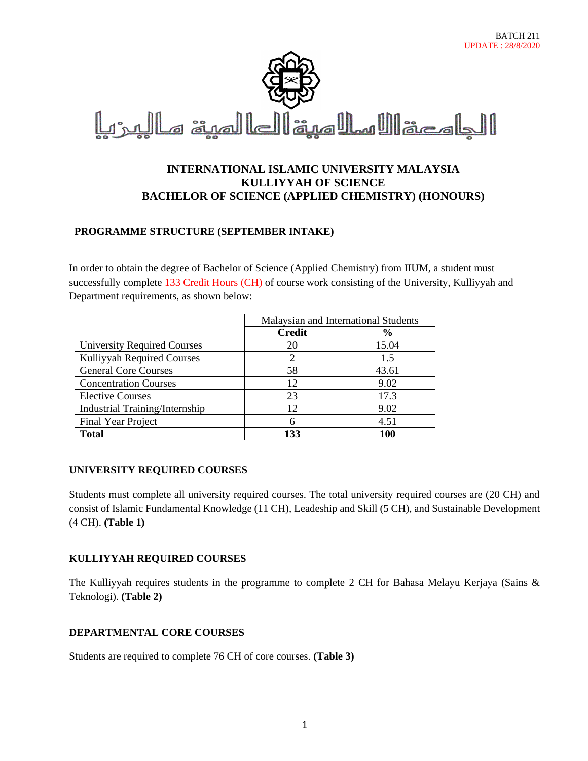BATCH 211

# **INTERNATIONAL ISLAMIC UNIVERSITY MALAYSIA KULLIYYAH OF SCIENCE BACHELOR OF SCIENCE (APPLIED CHEMISTRY) (HONOURS)**

## **PROGRAMME STRUCTURE (SEPTEMBER INTAKE)**

In order to obtain the degree of Bachelor of Science (Applied Chemistry) from IIUM, a student must successfully complete 133 Credit Hours (CH) of course work consisting of the University, Kulliyyah and Department requirements, as shown below:

|                                    | Malaysian and International Students |               |
|------------------------------------|--------------------------------------|---------------|
|                                    | <b>Credit</b>                        | $\frac{6}{6}$ |
| <b>University Required Courses</b> | 20                                   | 15.04         |
| Kulliyyah Required Courses         |                                      | 1.5           |
| <b>General Core Courses</b>        | 58                                   | 43.61         |
| <b>Concentration Courses</b>       | 12                                   | 9.02          |
| <b>Elective Courses</b>            | 23                                   | 17.3          |
| Industrial Training/Internship     | 12                                   | 9.02          |
| <b>Final Year Project</b>          | 6                                    | 4.51          |
| <b>Total</b>                       | 133                                  | 100           |

## **UNIVERSITY REQUIRED COURSES**

Students must complete all university required courses. The total university required courses are (20 CH) and consist of Islamic Fundamental Knowledge (11 CH), Leadeship and Skill (5 CH), and Sustainable Development (4 CH). **(Table 1)**

## **KULLIYYAH REQUIRED COURSES**

The Kulliyyah requires students in the programme to complete 2 CH for Bahasa Melayu Kerjaya (Sains & Teknologi). **(Table 2)**

## **DEPARTMENTAL CORE COURSES**

Students are required to complete 76 CH of core courses. **(Table 3)**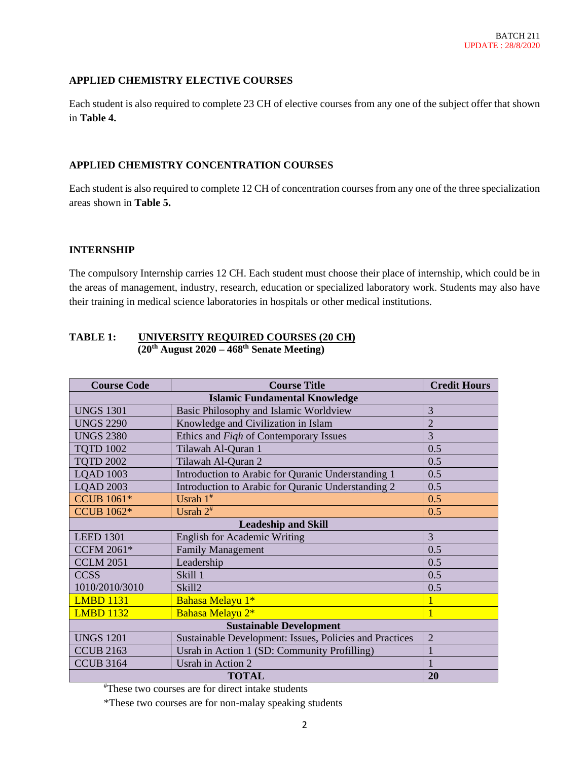## **APPLIED CHEMISTRY ELECTIVE COURSES**

Each student is also required to complete 23 CH of elective courses from any one of the subject offer that shown in **Table 4.**

### **APPLIED CHEMISTRY CONCENTRATION COURSES**

Each student is also required to complete 12 CH of concentration courses from any one of the three specialization areas shown in **Table 5.**

### **INTERNSHIP**

The compulsory Internship carries 12 CH. Each student must choose their place of internship, which could be in the areas of management, industry, research, education or specialized laboratory work. Students may also have their training in medical science laboratories in hospitals or other medical institutions.

### **TABLE 1: UNIVERSITY REQUIRED COURSES (20 CH) (20 th August 2020 – 468th Senate Meeting)**

| <b>Course Code</b>             | <b>Course Title</b>                                     | <b>Credit Hours</b> |  |
|--------------------------------|---------------------------------------------------------|---------------------|--|
|                                | <b>Islamic Fundamental Knowledge</b>                    |                     |  |
| <b>UNGS 1301</b>               | Basic Philosophy and Islamic Worldview                  | 3                   |  |
| <b>UNGS 2290</b>               | Knowledge and Civilization in Islam                     | $\overline{2}$      |  |
| <b>UNGS 2380</b>               | Ethics and Figh of Contemporary Issues                  | 3                   |  |
| <b>TOTD 1002</b>               | Tilawah Al-Quran 1                                      | 0.5                 |  |
| <b>TQTD 2002</b>               | Tilawah Al-Quran 2                                      | 0.5                 |  |
| <b>LOAD 1003</b>               | Introduction to Arabic for Quranic Understanding 1      | 0.5                 |  |
| <b>LQAD 2003</b>               | Introduction to Arabic for Quranic Understanding 2      | 0.5                 |  |
| <b>CCUB 1061*</b>              | Usrah $1^*$                                             | 0.5                 |  |
| <b>CCUB 1062*</b>              | Usrah $2^*$                                             | 0.5                 |  |
| <b>Leadeship and Skill</b>     |                                                         |                     |  |
| <b>LEED 1301</b>               | <b>English for Academic Writing</b>                     | $\overline{3}$      |  |
| <b>CCFM 2061*</b>              | <b>Family Management</b>                                | 0.5                 |  |
| <b>CCLM 2051</b>               | Leadership                                              | 0.5                 |  |
| <b>CCSS</b>                    | <b>Skill 1</b>                                          | 0.5                 |  |
| 1010/2010/3010                 | Skill <sub>2</sub>                                      | 0.5                 |  |
| <b>LMBD 1131</b>               | Bahasa Melayu 1*                                        |                     |  |
| <b>LMBD 1132</b>               | Bahasa Melayu 2*                                        |                     |  |
| <b>Sustainable Development</b> |                                                         |                     |  |
| <b>UNGS 1201</b>               | Sustainable Development: Issues, Policies and Practices | $\overline{2}$      |  |
| <b>CCUB 2163</b>               | Usrah in Action 1 (SD: Community Profilling)            |                     |  |
| <b>CCUB 3164</b>               | Usrah in Action 2                                       |                     |  |
| 20<br><b>TOTAL</b>             |                                                         |                     |  |

#These two courses are for direct intake students

\*These two courses are for non-malay speaking students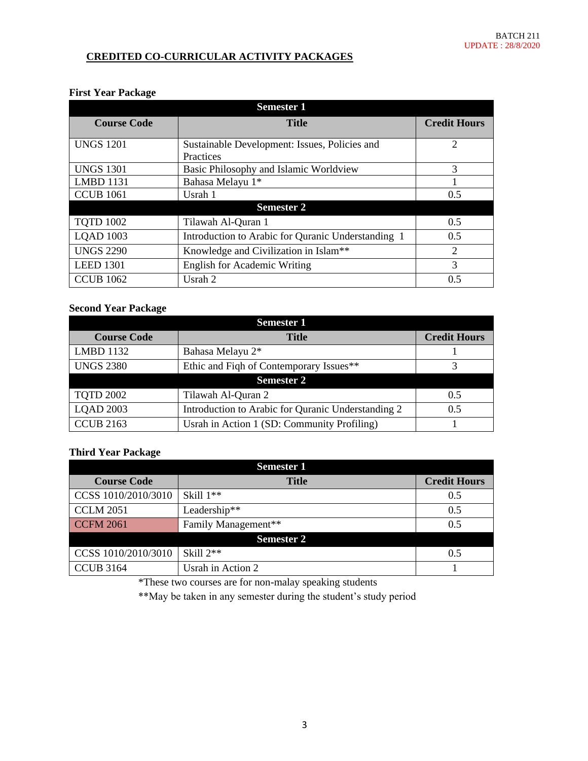## **CREDITED CO-CURRICULAR ACTIVITY PACKAGES**

### **First Year Package**

| <b>Semester 1</b>  |                                                            |                             |  |
|--------------------|------------------------------------------------------------|-----------------------------|--|
| <b>Course Code</b> | <b>Title</b>                                               | <b>Credit Hours</b>         |  |
| <b>UNGS 1201</b>   | Sustainable Development: Issues, Policies and<br>Practices | $\mathcal{D}_{\mathcal{L}}$ |  |
| <b>UNGS 1301</b>   | Basic Philosophy and Islamic Worldview                     | 3                           |  |
| <b>LMBD 1131</b>   | Bahasa Melayu 1*                                           |                             |  |
| <b>CCUB 1061</b>   | Usrah 1                                                    | 0.5                         |  |
|                    | <b>Semester 2</b>                                          |                             |  |
| <b>TOTD 1002</b>   | Tilawah Al-Quran 1                                         | 0.5                         |  |
| <b>LQAD 1003</b>   | Introduction to Arabic for Quranic Understanding 1         | 0.5                         |  |
| <b>UNGS 2290</b>   | Knowledge and Civilization in Islam**                      | $\overline{2}$              |  |
| <b>LEED 1301</b>   | <b>English for Academic Writing</b>                        | 3                           |  |
| <b>CCUB 1062</b>   | Usrah 2                                                    | 0.5                         |  |

## **Second Year Package**

| <b>Semester 1</b>  |                                                    |                     |  |
|--------------------|----------------------------------------------------|---------------------|--|
| <b>Course Code</b> | <b>Title</b>                                       | <b>Credit Hours</b> |  |
| <b>LMBD 1132</b>   | Bahasa Melayu 2*                                   |                     |  |
| <b>UNGS 2380</b>   | Ethic and Figh of Contemporary Issues**            |                     |  |
| <b>Semester 2</b>  |                                                    |                     |  |
| <b>TOTD 2002</b>   | Tilawah Al-Quran 2                                 | 0.5                 |  |
| <b>LOAD 2003</b>   | Introduction to Arabic for Quranic Understanding 2 | 0.5                 |  |
| <b>CCUB 2163</b>   | Usrah in Action 1 (SD: Community Profiling)        |                     |  |

### **Third Year Package**

| <b>Semester 1</b>   |                     |                     |
|---------------------|---------------------|---------------------|
| <b>Course Code</b>  | <b>Title</b>        | <b>Credit Hours</b> |
| CCSS 1010/2010/3010 | Skill $1**$         | 0.5                 |
| <b>CCLM 2051</b>    | Leadership**        | 0.5                 |
| <b>CCFM 2061</b>    | Family Management** | 0.5                 |
|                     | <b>Semester 2</b>   |                     |
| CCSS 1010/2010/3010 | Skill $2**$         | 0.5                 |
| <b>CCUB 3164</b>    | Usrah in Action 2   |                     |

\*These two courses are for non-malay speaking students

\*\*May be taken in any semester during the student's study period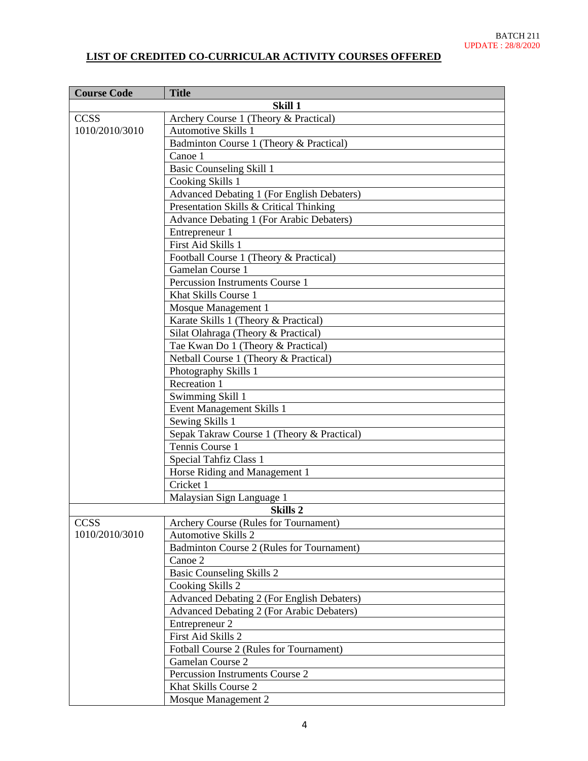# **LIST OF CREDITED CO-CURRICULAR ACTIVITY COURSES OFFERED**

| <b>Course Code</b> | <b>Title</b>                                      |
|--------------------|---------------------------------------------------|
|                    | Skill 1                                           |
| <b>CCSS</b>        | Archery Course 1 (Theory & Practical)             |
| 1010/2010/3010     | <b>Automotive Skills 1</b>                        |
|                    | Badminton Course 1 (Theory & Practical)           |
|                    | Canoe 1                                           |
|                    | <b>Basic Counseling Skill 1</b>                   |
|                    | Cooking Skills 1                                  |
|                    | <b>Advanced Debating 1 (For English Debaters)</b> |
|                    | Presentation Skills & Critical Thinking           |
|                    | Advance Debating 1 (For Arabic Debaters)          |
|                    | Entrepreneur 1                                    |
|                    | First Aid Skills 1                                |
|                    | Football Course 1 (Theory & Practical)            |
|                    | Gamelan Course 1                                  |
|                    | Percussion Instruments Course 1                   |
|                    | Khat Skills Course 1                              |
|                    | Mosque Management 1                               |
|                    | Karate Skills 1 (Theory & Practical)              |
|                    | Silat Olahraga (Theory & Practical)               |
|                    | Tae Kwan Do 1 (Theory & Practical)                |
|                    | Netball Course 1 (Theory & Practical)             |
|                    | Photography Skills 1                              |
|                    | Recreation 1                                      |
|                    | Swimming Skill 1                                  |
|                    | <b>Event Management Skills 1</b>                  |
|                    | Sewing Skills 1                                   |
|                    | Sepak Takraw Course 1 (Theory & Practical)        |
|                    | Tennis Course 1                                   |
|                    | Special Tahfiz Class 1                            |
|                    | Horse Riding and Management 1                     |
|                    | Cricket 1                                         |
|                    | Malaysian Sign Language 1                         |
|                    | Skills <sub>2</sub>                               |
| <b>CCSS</b>        | Archery Course (Rules for Tournament)             |
| 1010/2010/3010     | <b>Automotive Skills 2</b>                        |
|                    | Badminton Course 2 (Rules for Tournament)         |
|                    | Canoe 2                                           |
|                    | <b>Basic Counseling Skills 2</b>                  |
|                    | Cooking Skills 2                                  |
|                    | <b>Advanced Debating 2 (For English Debaters)</b> |
|                    | Advanced Debating 2 (For Arabic Debaters)         |
|                    | Entrepreneur 2                                    |
|                    | First Aid Skills 2                                |
|                    | Fotball Course 2 (Rules for Tournament)           |
|                    | Gamelan Course 2                                  |
|                    | Percussion Instruments Course 2                   |
|                    | Khat Skills Course 2                              |
|                    | Mosque Management 2                               |
|                    |                                                   |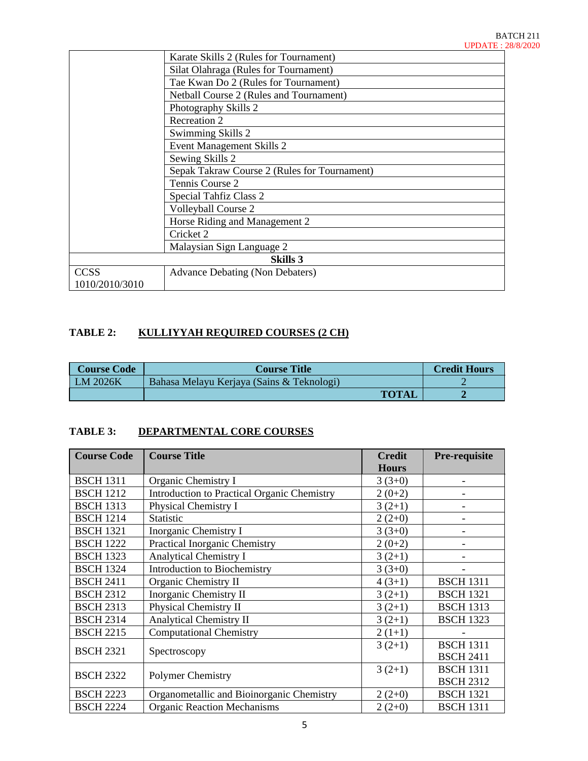|                 | Karate Skills 2 (Rules for Tournament)       |  |
|-----------------|----------------------------------------------|--|
|                 | Silat Olahraga (Rules for Tournament)        |  |
|                 | Tae Kwan Do 2 (Rules for Tournament)         |  |
|                 | Netball Course 2 (Rules and Tournament)      |  |
|                 | Photography Skills 2                         |  |
|                 | Recreation 2                                 |  |
|                 | Swimming Skills 2                            |  |
|                 | Event Management Skills 2                    |  |
|                 | Sewing Skills 2                              |  |
|                 | Sepak Takraw Course 2 (Rules for Tournament) |  |
|                 | Tennis Course 2                              |  |
|                 | Special Tahfiz Class 2                       |  |
|                 | Volleyball Course 2                          |  |
|                 | Horse Riding and Management 2                |  |
|                 | Cricket 2                                    |  |
|                 | Malaysian Sign Language 2                    |  |
| <b>Skills 3</b> |                                              |  |
| <b>CCSS</b>     | <b>Advance Debating (Non Debaters)</b>       |  |
| 1010/2010/3010  |                                              |  |

## **TABLE 2: KULLIYYAH REQUIRED COURSES (2 CH)**

| <b>Course Code</b> | <b>Course Title</b>                       | <b>Credit Hours</b> |
|--------------------|-------------------------------------------|---------------------|
| LM 2026K           | Bahasa Melayu Kerjaya (Sains & Teknologi) |                     |
|                    | <b>TOTAL</b>                              |                     |

# **TABLE 3: DEPARTMENTAL CORE COURSES**

| <b>Course Code</b> | <b>Course Title</b>                         | <b>Credit</b><br><b>Hours</b> | Pre-requisite    |
|--------------------|---------------------------------------------|-------------------------------|------------------|
| <b>BSCH 1311</b>   | Organic Chemistry I                         | $3(3+0)$                      |                  |
| <b>BSCH 1212</b>   | Introduction to Practical Organic Chemistry | $2(0+2)$                      |                  |
| <b>BSCH 1313</b>   | Physical Chemistry I                        | $3(2+1)$                      |                  |
| <b>BSCH 1214</b>   | Statistic                                   | $2(2+0)$                      |                  |
| <b>BSCH 1321</b>   | Inorganic Chemistry I                       | $3(3+0)$                      |                  |
| <b>BSCH 1222</b>   | <b>Practical Inorganic Chemistry</b>        | $2(0+2)$                      |                  |
| <b>BSCH 1323</b>   | <b>Analytical Chemistry I</b>               | $3(2+1)$                      |                  |
| <b>BSCH 1324</b>   | <b>Introduction to Biochemistry</b>         | $3(3+0)$                      |                  |
| <b>BSCH 2411</b>   | Organic Chemistry II                        | $4(3+1)$                      | <b>BSCH 1311</b> |
| <b>BSCH 2312</b>   | Inorganic Chemistry II                      | $3(2+1)$                      | <b>BSCH 1321</b> |
| <b>BSCH 2313</b>   | Physical Chemistry II                       | $3(2+1)$                      | <b>BSCH 1313</b> |
| <b>BSCH 2314</b>   | <b>Analytical Chemistry II</b>              | $3(2+1)$                      | <b>BSCH 1323</b> |
| <b>BSCH 2215</b>   | <b>Computational Chemistry</b>              | $2(1+1)$                      |                  |
| <b>BSCH 2321</b>   |                                             | $3(2+1)$                      | <b>BSCH 1311</b> |
|                    | Spectroscopy                                |                               | <b>BSCH 2411</b> |
| <b>BSCH 2322</b>   | <b>Polymer Chemistry</b>                    | $3(2+1)$                      | <b>BSCH 1311</b> |
|                    |                                             |                               | <b>BSCH 2312</b> |
| <b>BSCH 2223</b>   | Organometallic and Bioinorganic Chemistry   | $2(2+0)$                      | <b>BSCH 1321</b> |
| <b>BSCH 2224</b>   | <b>Organic Reaction Mechanisms</b>          | $2(2+0)$                      | <b>BSCH 1311</b> |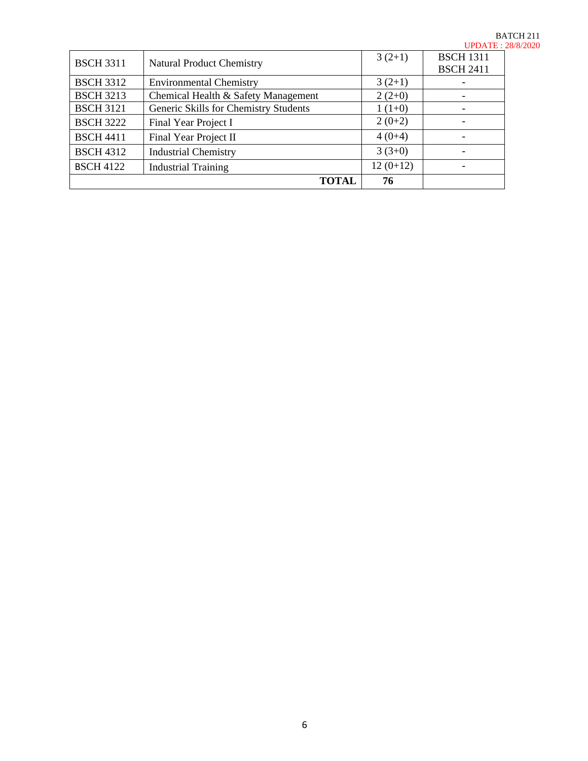|                  |                                       |            | u <i>p</i> aile. |
|------------------|---------------------------------------|------------|------------------|
| <b>BSCH 3311</b> | <b>Natural Product Chemistry</b>      | $3(2+1)$   | <b>BSCH 1311</b> |
|                  |                                       |            | <b>BSCH 2411</b> |
| <b>BSCH 3312</b> | <b>Environmental Chemistry</b>        | $3(2+1)$   |                  |
| <b>BSCH 3213</b> | Chemical Health & Safety Management   | $2(2+0)$   |                  |
| <b>BSCH 3121</b> | Generic Skills for Chemistry Students | $1(1+0)$   |                  |
| <b>BSCH 3222</b> | Final Year Project I                  | $2(0+2)$   |                  |
| <b>BSCH 4411</b> | Final Year Project II                 | $4(0+4)$   |                  |
| <b>BSCH 4312</b> | <b>Industrial Chemistry</b>           | $3(3+0)$   |                  |
| <b>BSCH 4122</b> | <b>Industrial Training</b>            | $12(0+12)$ |                  |
|                  | <b>TOTAL</b>                          | 76         |                  |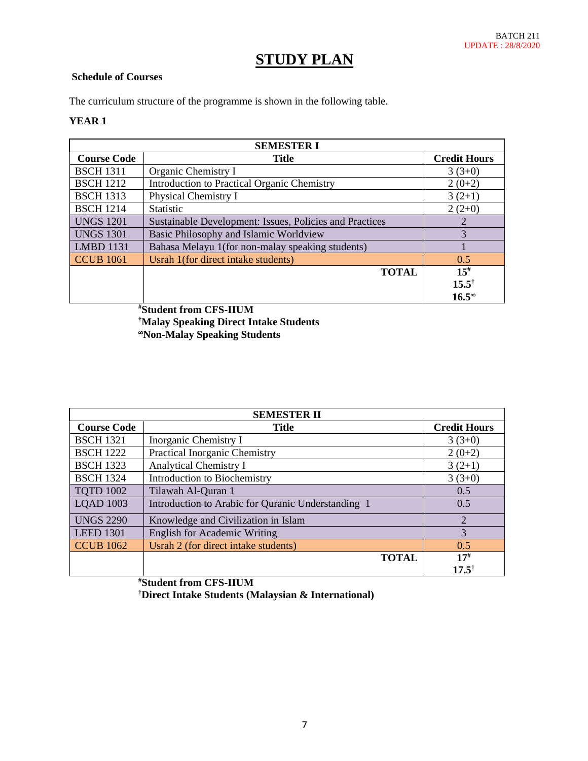# **STUDY PLAN**

## **Schedule of Courses**

The curriculum structure of the programme is shown in the following table.

### **YEAR 1**

| <b>SEMESTER I</b>  |                                                         |                     |  |
|--------------------|---------------------------------------------------------|---------------------|--|
| <b>Course Code</b> | <b>Title</b>                                            | <b>Credit Hours</b> |  |
| <b>BSCH 1311</b>   | Organic Chemistry I                                     | $3(3+0)$            |  |
| <b>BSCH 1212</b>   | <b>Introduction to Practical Organic Chemistry</b>      | $2(0+2)$            |  |
| <b>BSCH 1313</b>   | Physical Chemistry I                                    | $3(2+1)$            |  |
| <b>BSCH 1214</b>   | <b>Statistic</b>                                        | $2(2+0)$            |  |
| <b>UNGS 1201</b>   | Sustainable Development: Issues, Policies and Practices | 2                   |  |
| <b>UNGS 1301</b>   | Basic Philosophy and Islamic Worldview                  | 3                   |  |
| <b>LMBD 1131</b>   | Bahasa Melayu 1(for non-malay speaking students)        |                     |  |
| <b>CCUB 1061</b>   | Usrah 1(for direct intake students)                     | 0.5                 |  |
|                    | <b>TOTAL</b>                                            | $15^{#}$            |  |
|                    |                                                         | $15.5^{\dagger}$    |  |
|                    |                                                         | $16.5^\circ$        |  |

**#Student from CFS-IIUM †Malay Speaking Direct Intake Students Non-Malay Speaking Students**

| <b>SEMESTER II</b> |                                                    |                              |
|--------------------|----------------------------------------------------|------------------------------|
| <b>Course Code</b> | <b>Title</b>                                       | <b>Credit Hours</b>          |
| <b>BSCH 1321</b>   | Inorganic Chemistry I                              | $3(3+0)$                     |
| <b>BSCH 1222</b>   | Practical Inorganic Chemistry                      | $2(0+2)$                     |
| <b>BSCH 1323</b>   | <b>Analytical Chemistry I</b>                      | $3(2+1)$                     |
| <b>BSCH 1324</b>   | Introduction to Biochemistry                       | $3(3+0)$                     |
| <b>TQTD 1002</b>   | Tilawah Al-Quran 1                                 | 0.5                          |
| <b>LQAD 1003</b>   | Introduction to Arabic for Quranic Understanding 1 | 0.5                          |
| <b>UNGS 2290</b>   | Knowledge and Civilization in Islam                | $\overline{2}$               |
| <b>LEED 1301</b>   | <b>English for Academic Writing</b>                | 3                            |
| <b>CCUB 1062</b>   | Usrah 2 (for direct intake students)               | 0.5                          |
|                    | <b>TOTAL</b>                                       | $17^{#}$<br>$17.5^{\dagger}$ |

**#Student from CFS-IIUM †Direct Intake Students (Malaysian & International)**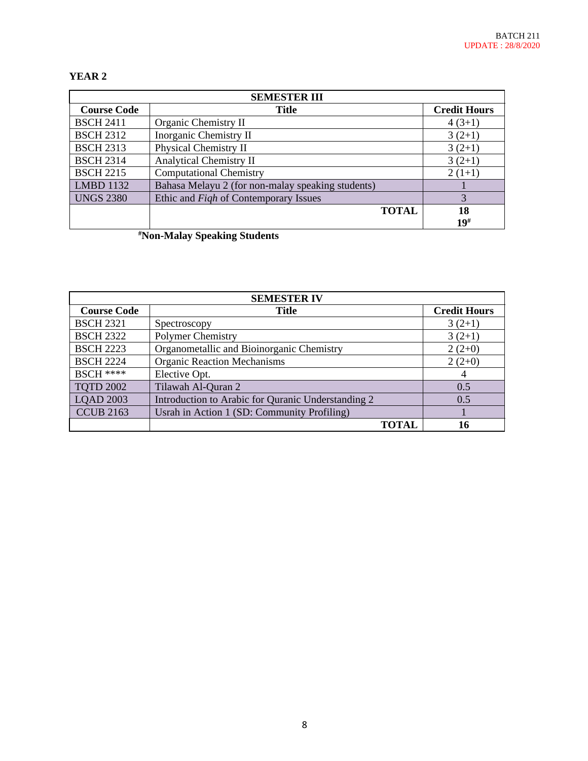# **YEAR 2**

| <b>SEMESTER III</b> |                                                   |                     |  |
|---------------------|---------------------------------------------------|---------------------|--|
| <b>Course Code</b>  | <b>Title</b>                                      | <b>Credit Hours</b> |  |
| <b>BSCH 2411</b>    | Organic Chemistry II                              | $4(3+1)$            |  |
| <b>BSCH 2312</b>    | Inorganic Chemistry II                            | $3(2+1)$            |  |
| <b>BSCH 2313</b>    | Physical Chemistry II                             | $3(2+1)$            |  |
| <b>BSCH 2314</b>    | <b>Analytical Chemistry II</b>                    | $3(2+1)$            |  |
| <b>BSCH 2215</b>    | <b>Computational Chemistry</b>                    | $2(1+1)$            |  |
| <b>LMBD 1132</b>    | Bahasa Melayu 2 (for non-malay speaking students) |                     |  |
| <b>UNGS 2380</b>    | Ethic and <i>Figh</i> of Contemporary Issues      | 3                   |  |
|                     | <b>TOTAL</b>                                      | 18                  |  |
|                     |                                                   | 19#                 |  |

**#Non-Malay Speaking Students**

| <b>SEMESTER IV</b> |                                                    |                     |  |
|--------------------|----------------------------------------------------|---------------------|--|
| <b>Course Code</b> | <b>Title</b>                                       | <b>Credit Hours</b> |  |
| <b>BSCH 2321</b>   | Spectroscopy                                       | $3(2+1)$            |  |
| <b>BSCH 2322</b>   | <b>Polymer Chemistry</b>                           | $3(2+1)$            |  |
| <b>BSCH 2223</b>   | Organometallic and Bioinorganic Chemistry          | $2(2+0)$            |  |
| <b>BSCH 2224</b>   | <b>Organic Reaction Mechanisms</b>                 | $2(2+0)$            |  |
| <b>BSCH ****</b>   | Elective Opt.                                      | 4                   |  |
| <b>TOTD 2002</b>   | Tilawah Al-Quran 2                                 | 0.5                 |  |
| <b>LQAD 2003</b>   | Introduction to Arabic for Quranic Understanding 2 | 0.5                 |  |
| <b>CCUB 2163</b>   | Usrah in Action 1 (SD: Community Profiling)        |                     |  |
|                    | <b>TOTAL</b>                                       | 16                  |  |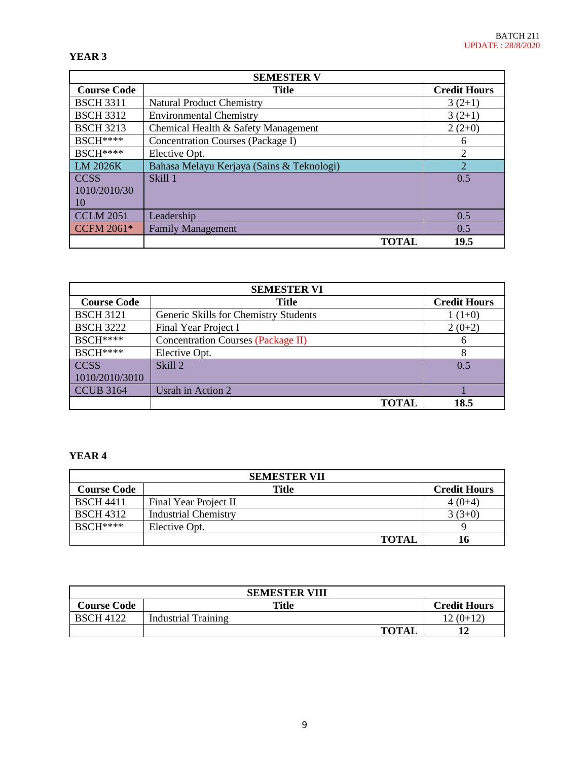### **YEAR 3**

| <b>SEMESTER V</b>  |                                           |                     |  |
|--------------------|-------------------------------------------|---------------------|--|
| <b>Course Code</b> | <b>Title</b>                              | <b>Credit Hours</b> |  |
| <b>BSCH 3311</b>   | <b>Natural Product Chemistry</b>          | $3(2+1)$            |  |
| <b>BSCH 3312</b>   | <b>Environmental Chemistry</b>            | $3(2+1)$            |  |
| <b>BSCH 3213</b>   | Chemical Health & Safety Management       | $2(2+0)$            |  |
| BSCH****           | Concentration Courses (Package I)         | 6                   |  |
| <b>BSCH</b> ****   | Elective Opt.                             | $\overline{2}$      |  |
| LM 2026K           | Bahasa Melayu Kerjaya (Sains & Teknologi) | $\overline{2}$      |  |
| <b>CCSS</b>        | Skill 1                                   | 0.5                 |  |
| 1010/2010/30       |                                           |                     |  |
| 10                 |                                           |                     |  |
| <b>CCLM 2051</b>   | Leadership                                | 0.5                 |  |
| <b>CCFM 2061*</b>  | <b>Family Management</b>                  | 0.5                 |  |
|                    | <b>TOTAL</b>                              | 19.5                |  |

| <b>SEMESTER VI</b> |                                           |                     |  |
|--------------------|-------------------------------------------|---------------------|--|
| <b>Course Code</b> | <b>Title</b>                              | <b>Credit Hours</b> |  |
| <b>BSCH 3121</b>   | Generic Skills for Chemistry Students     | $1(1+0)$            |  |
| <b>BSCH 3222</b>   | Final Year Project I                      | $2(0+2)$            |  |
| <b>BSCH</b> ****   | <b>Concentration Courses (Package II)</b> | 6                   |  |
| $BSCH***$          | Elective Opt.                             | 8                   |  |
| <b>CCSS</b>        | Skill <sub>2</sub>                        | 0.5                 |  |
| 1010/2010/3010     |                                           |                     |  |
| <b>CCUB 3164</b>   | Usrah in Action 2                         |                     |  |
|                    | TOTAL                                     | 18.5                |  |

## **YEAR 4**

| <b>SEMESTER VII</b> |                             |                     |  |
|---------------------|-----------------------------|---------------------|--|
| <b>Course Code</b>  | <b>Title</b>                | <b>Credit Hours</b> |  |
| <b>BSCH 4411</b>    | Final Year Project II       | 4 (0+4              |  |
| <b>BSCH 4312</b>    | <b>Industrial Chemistry</b> | $3(3+0)$            |  |
| $BSCH***$           | Elective Opt.               |                     |  |
|                     | <b>TOTAL</b>                | 16                  |  |

| <b>SEMESTER VIII</b> |                     |                     |  |
|----------------------|---------------------|---------------------|--|
| <b>Course Code</b>   | Title               | <b>Credit Hours</b> |  |
| <b>BSCH 4122</b>     | Industrial Training | $12(0+12)$          |  |
|                      | <b>TOTAI</b>        |                     |  |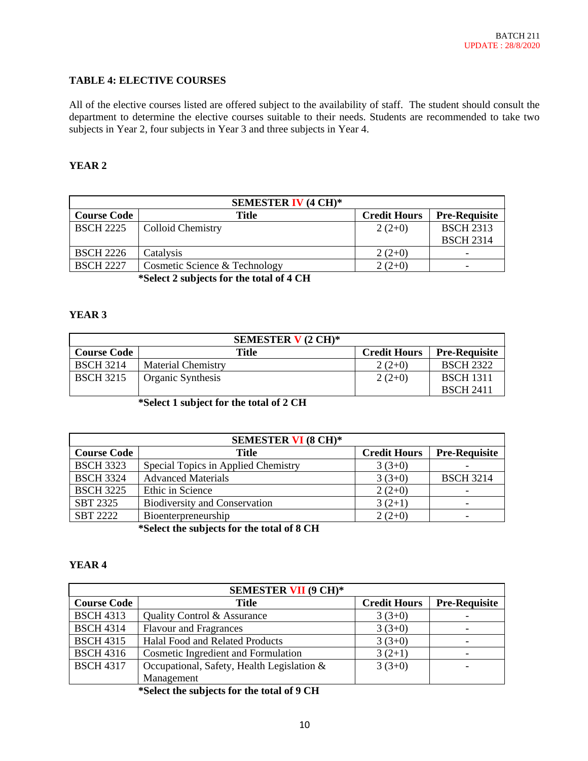## **TABLE 4: ELECTIVE COURSES**

All of the elective courses listed are offered subject to the availability of staff. The student should consult the department to determine the elective courses suitable to their needs. Students are recommended to take two subjects in Year 2, four subjects in Year 3 and three subjects in Year 4.

## **YEAR 2**

|                    | <b>SEMESTER IV (4 CH)*</b>    |                     |                      |
|--------------------|-------------------------------|---------------------|----------------------|
| <b>Course Code</b> | <b>Title</b>                  | <b>Credit Hours</b> | <b>Pre-Requisite</b> |
| <b>BSCH 2225</b>   | <b>Colloid Chemistry</b>      | $2(2+0)$            | <b>BSCH 2313</b>     |
|                    |                               |                     | <b>BSCH 2314</b>     |
| <b>BSCH 2226</b>   | Catalysis                     | $2(2+0)$            |                      |
| <b>BSCH 2227</b>   | Cosmetic Science & Technology | $2(2+0)$            |                      |
|                    | ACLA II A ALLANT              |                     |                      |

**\*Select 2 subjects for the total of 4 CH**

### **YEAR 3**

|                    | SEMESTER $V(2 \text{ CH})^*$ |                     |                      |
|--------------------|------------------------------|---------------------|----------------------|
| <b>Course Code</b> | Title                        | <b>Credit Hours</b> | <b>Pre-Requisite</b> |
| <b>BSCH 3214</b>   | <b>Material Chemistry</b>    | $2(2+0)$            | <b>BSCH 2322</b>     |
| <b>BSCH 3215</b>   | Organic Synthesis            | $2(2+0)$            | <b>BSCH 1311</b>     |
|                    |                              |                     | <b>BSCH 2411</b>     |

**\*Select 1 subject for the total of 2 CH**

|                    | <b>SEMESTER VI (8 CH)*</b>           |                     |                          |
|--------------------|--------------------------------------|---------------------|--------------------------|
| <b>Course Code</b> | Title                                | <b>Credit Hours</b> | <b>Pre-Requisite</b>     |
| <b>BSCH 3323</b>   | Special Topics in Applied Chemistry  | $3(3+0)$            |                          |
| <b>BSCH 3324</b>   | <b>Advanced Materials</b>            | $3(3+0)$            | <b>BSCH 3214</b>         |
| <b>BSCH 3225</b>   | Ethic in Science                     | $2(2+0)$            | $\overline{\phantom{0}}$ |
| SBT 2325           | <b>Biodiversity and Conservation</b> | $3(2+1)$            | $\overline{\phantom{0}}$ |
| <b>SBT 2222</b>    | Bioenterpreneurship                  | $2(2+0)$            | $\overline{\phantom{0}}$ |

**\*Select the subjects for the total of 8 CH**

### **YEAR 4**

| <b>SEMESTER VII (9 CH)*</b> |                                            |                     |                      |
|-----------------------------|--------------------------------------------|---------------------|----------------------|
| <b>Course Code</b>          | <b>Title</b>                               | <b>Credit Hours</b> | <b>Pre-Requisite</b> |
| <b>BSCH 4313</b>            | Quality Control & Assurance                | $3(3+0)$            |                      |
| <b>BSCH 4314</b>            | <b>Flavour and Fragrances</b>              | $3(3+0)$            |                      |
| <b>BSCH 4315</b>            | Halal Food and Related Products            | $3(3+0)$            |                      |
| <b>BSCH 4316</b>            | <b>Cosmetic Ingredient and Formulation</b> | $3(2+1)$            |                      |
| <b>BSCH 4317</b>            | Occupational, Safety, Health Legislation & | $3(3+0)$            |                      |
|                             | Management                                 |                     |                      |

**\*Select the subjects for the total of 9 CH**